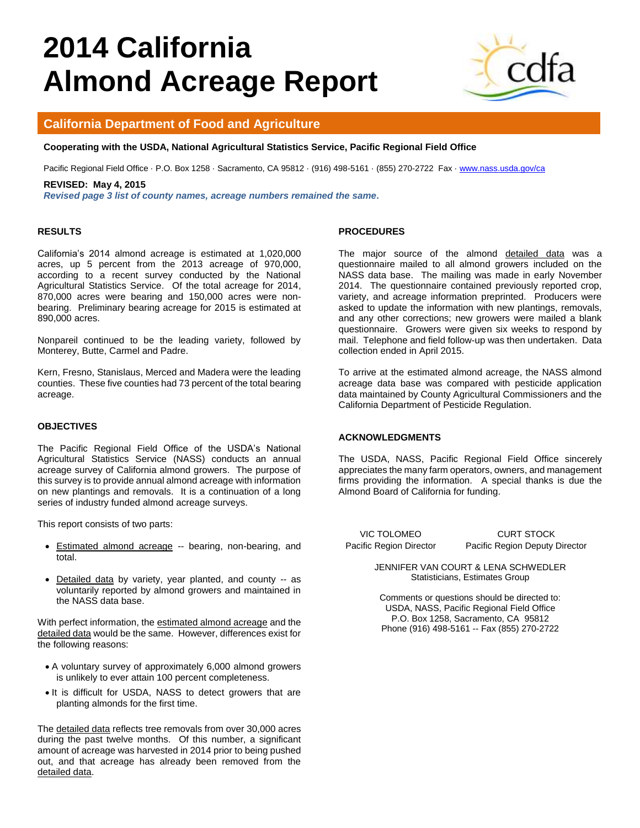# **2014 California Almond Acreage Report**



# **California Department of Food and Agriculture**

# **Cooperating with the USDA, National Agricultural Statistics Service, Pacific Regional Field Office**

Pacific Regional Field Office · P.O. Box 1258 · Sacramento, CA 95812 · (916) 498-5161 · (855) 270-2722 Fax [· www.nass.usda.gov/ca](http://www.nass.usda.gov/ca)

#### **REVISED: May 4, 2015**

*Revised page 3 list of county names, acreage numbers remained the same.* 

#### **RESULTS**

California's 2014 almond acreage is estimated at 1,020,000 acres, up 5 percent from the 2013 acreage of 970,000, according to a recent survey conducted by the National Agricultural Statistics Service. Of the total acreage for 2014, 870,000 acres were bearing and 150,000 acres were nonbearing. Preliminary bearing acreage for 2015 is estimated at 890,000 acres.

Nonpareil continued to be the leading variety, followed by Monterey, Butte, Carmel and Padre.

Kern, Fresno, Stanislaus, Merced and Madera were the leading counties. These five counties had 73 percent of the total bearing acreage.

#### **OBJECTIVES**

The Pacific Regional Field Office of the USDA's National Agricultural Statistics Service (NASS) conducts an annual acreage survey of California almond growers. The purpose of this survey is to provide annual almond acreage with information on new plantings and removals. It is a continuation of a long series of industry funded almond acreage surveys.

This report consists of two parts:

- **Estimated almond acreage -- bearing, non-bearing, and** total.
- Detailed data by variety, year planted, and county -- as voluntarily reported by almond growers and maintained in the NASS data base.

With perfect information, the estimated almond acreage and the detailed data would be the same. However, differences exist for the following reasons:

- A voluntary survey of approximately 6,000 almond growers is unlikely to ever attain 100 percent completeness.
- It is difficult for USDA, NASS to detect growers that are planting almonds for the first time.

The detailed data reflects tree removals from over 30,000 acres during the past twelve months. Of this number, a significant amount of acreage was harvested in 2014 prior to being pushed out, and that acreage has already been removed from the detailed data.

#### **PROCEDURES**

The major source of the almond detailed data was a questionnaire mailed to all almond growers included on the NASS data base. The mailing was made in early November 2014. The questionnaire contained previously reported crop, variety, and acreage information preprinted. Producers were asked to update the information with new plantings, removals, and any other corrections; new growers were mailed a blank questionnaire. Growers were given six weeks to respond by mail. Telephone and field follow-up was then undertaken. Data collection ended in April 2015.

To arrive at the estimated almond acreage, the NASS almond acreage data base was compared with pesticide application data maintained by County Agricultural Commissioners and the California Department of Pesticide Regulation.

#### **ACKNOWLEDGMENTS**

The USDA, NASS, Pacific Regional Field Office sincerely appreciates the many farm operators, owners, and management firms providing the information. A special thanks is due the Almond Board of California for funding.

VIC TOLOMEO CURT STOCK Pacific Region Director Pacific Region Deputy Director

> JENNIFER VAN COURT & LENA SCHWEDLER Statisticians, Estimates Group

Comments or questions should be directed to: USDA, NASS, Pacific Regional Field Office P.O. Box 1258, Sacramento, CA 95812 Phone (916) 498-5161 -- Fax (855) 270-2722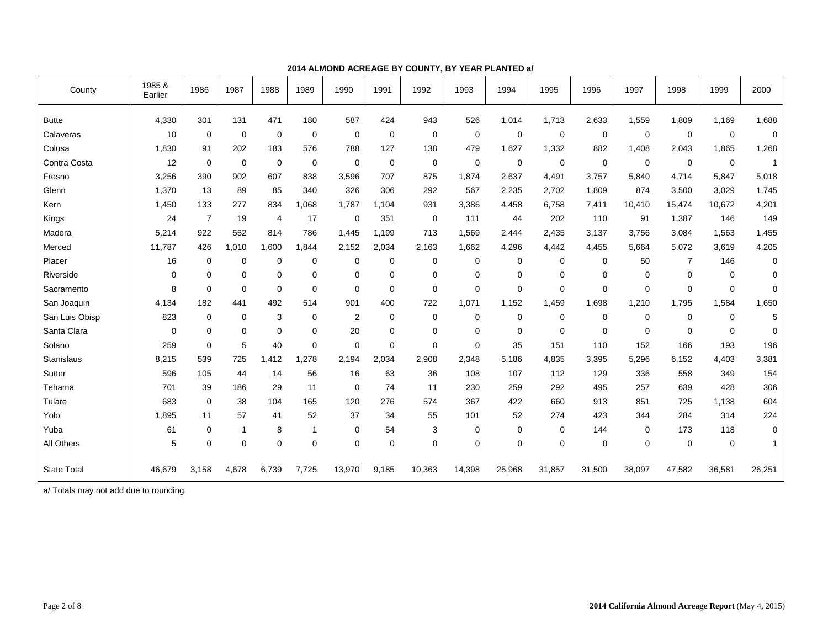| County             | 1985 &<br>Earlier | 1986           | 1987         | 1988           | 1989           | 1990           | 1991        | 1992        | 1993   | 1994   | 1995   | 1996        | 1997        | 1998           | 1999        | 2000        |
|--------------------|-------------------|----------------|--------------|----------------|----------------|----------------|-------------|-------------|--------|--------|--------|-------------|-------------|----------------|-------------|-------------|
| <b>Butte</b>       | 4,330             | 301            | 131          | 471            | 180            | 587            | 424         | 943         | 526    | 1,014  | 1,713  | 2,633       | 1,559       | 1,809          | 1,169       | 1,688       |
| Calaveras          | 10                | $\mathbf 0$    | $\mathbf 0$  | 0              | 0              | $\mathbf 0$    | 0           | 0           | 0      | 0      | 0      | 0           | 0           | 0              | 0           | $\mathbf 0$ |
| Colusa             | 1,830             | 91             | 202          | 183            | 576            | 788            | 127         | 138         | 479    | 1,627  | 1,332  | 882         | 1,408       | 2,043          | 1,865       | 1,268       |
| Contra Costa       | 12                | $\mathbf 0$    | $\mathbf 0$  | $\mathbf 0$    | $\mathbf 0$    | $\mathbf 0$    | $\mathbf 0$ | $\mathbf 0$ | 0      | 0      | 0      | $\mathbf 0$ | $\mathbf 0$ | $\mathbf 0$    | $\mathbf 0$ |             |
| Fresno             | 3,256             | 390            | 902          | 607            | 838            | 3,596          | 707         | 875         | 1,874  | 2,637  | 4,491  | 3,757       | 5,840       | 4,714          | 5,847       | 5,018       |
| Glenn              | 1,370             | 13             | 89           | 85             | 340            | 326            | 306         | 292         | 567    | 2,235  | 2,702  | 1,809       | 874         | 3,500          | 3,029       | 1,745       |
| Kern               | 1,450             | 133            | 277          | 834            | .068           | 1.787          | 1,104       | 931         | 3,386  | 4,458  | 6,758  | 7,411       | 10,410      | 15,474         | 10,672      | 4,201       |
| Kings              | 24                | $\overline{7}$ | 19           | $\overline{4}$ | 17             | 0              | 351         | $\mathbf 0$ | 111    | 44     | 202    | 110         | 91          | 1,387          | 146         | 149         |
| Madera             | 5,214             | 922            | 552          | 814            | 786            | 1,445          | 1,199       | 713         | 1,569  | 2,444  | 2,435  | 3,137       | 3,756       | 3,084          | 1,563       | 1,455       |
| Merced             | 11,787            | 426            | 1,010        | 1.600          | 1.844          | 2,152          | 2,034       | 2,163       | 1,662  | 4,296  | 4,442  | 4,455       | 5,664       | 5,072          | 3,619       | 4,205       |
| Placer             | 16                | $\mathbf 0$    | $\mathbf 0$  | 0              | 0              | 0              | 0           | 0           | 0      | 0      | 0      | 0           | 50          | $\overline{7}$ | 146         | 0           |
| Riverside          | $\mathbf 0$       | $\mathbf 0$    | $\mathbf 0$  | 0              | $\mathbf 0$    | 0              | $\Omega$    | 0           | 0      | 0      | 0      | 0           | $\mathbf 0$ | $\Omega$       | $\mathbf 0$ | $\Omega$    |
| Sacramento         | 8                 | $\mathbf 0$    | $\mathbf 0$  | $\mathbf 0$    | $\mathbf 0$    | $\Omega$       | $\Omega$    | $\Omega$    | 0      | 0      | 0      | $\Omega$    | $\Omega$    | 0              | $\Omega$    | $\Omega$    |
| San Joaquin        | 4,134             | 182            | 441          | 492            | 514            | 901            | 400         | 722         | 1.071  | 1.152  | 1,459  | 1,698       | 1,210       | 1,795          | 1,584       | 1,650       |
| San Luis Obisp     | 823               | $\mathbf 0$    | $\mathbf 0$  | 3              | 0              | $\overline{2}$ | 0           | 0           | 0      | 0      | 0      | 0           | $\mathbf 0$ | 0              | 0           | 5           |
| Santa Clara        | $\mathbf 0$       | $\mathbf 0$    | $\mathbf 0$  | 0              | $\mathbf 0$    | 20             | 0           | 0           | 0      | 0      | 0      | 0           | $\mathbf 0$ | 0              | 0           | $\mathbf 0$ |
| Solano             | 259               | $\mathbf 0$    | 5            | 40             | 0              | $\Omega$       | 0           | 0           | 0      | 35     | 151    | 110         | 152         | 166            | 193         | 196         |
| <b>Stanislaus</b>  | 8,215             | 539            | 725          | 1,412          | 1,278          | 2,194          | 2,034       | 2,908       | 2,348  | 5,186  | 4,835  | 3,395       | 5,296       | 6,152          | 4,403       | 3,381       |
| Sutter             | 596               | 105            | 44           | 14             | 56             | 16             | 63          | 36          | 108    | 107    | 112    | 129         | 336         | 558            | 349         | 154         |
| Tehama             | 701               | 39             | 186          | 29             | 11             | 0              | 74          | 11          | 230    | 259    | 292    | 495         | 257         | 639            | 428         | 306         |
| Tulare             | 683               | $\mathbf 0$    | 38           | 104            | 165            | 120            | 276         | 574         | 367    | 422    | 660    | 913         | 851         | 725            | 1,138       | 604         |
| Yolo               | 1,895             | 11             | 57           | 41             | 52             | 37             | 34          | 55          | 101    | 52     | 274    | 423         | 344         | 284            | 314         | 224         |
| Yuba               | 61                | 0              | $\mathbf{1}$ | 8              | $\overline{1}$ | 0              | 54          | 3           | 0      | 0      | 0      | 144         | $\mathbf 0$ | 173            | 118         | $\Omega$    |
| All Others         | 5                 | $\mathbf 0$    | $\mathbf 0$  | 0              | $\Omega$       | 0              | $\Omega$    | $\Omega$    | 0      | 0      | 0      | 0           | $\mathbf 0$ | 0              | $\mathbf 0$ | -1          |
| <b>State Total</b> | 46.679            | 3,158          | 4,678        | 6,739          | 7,725          | 13,970         | 9,185       | 10,363      | 14,398 | 25,968 | 31,857 | 31,500      | 38,097      | 47,582         | 36,581      | 26,251      |

#### **2014 ALMOND ACREAGE BY COUNTY, BY YEAR PLANTED a/**

a/ Totals may not add due to rounding.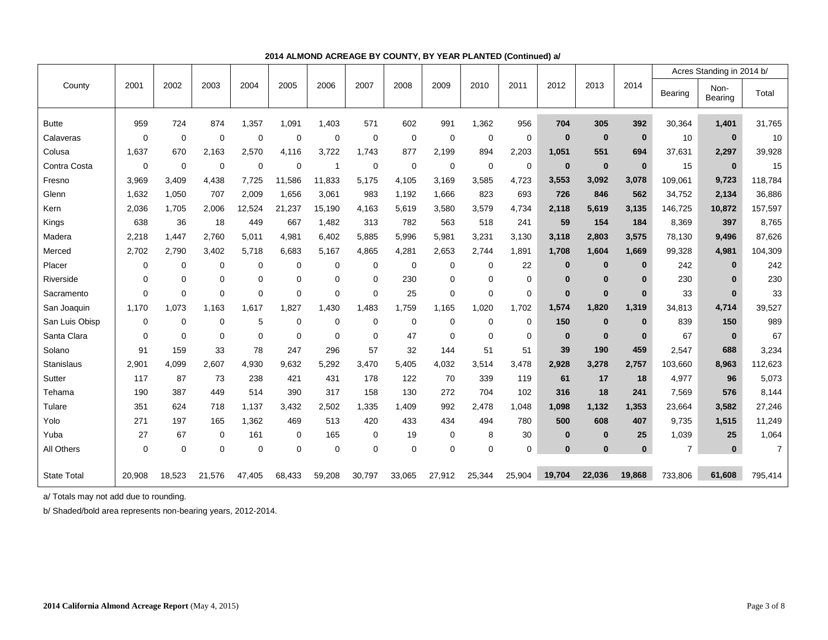|                    |             |             |             |             |             |             |             |             |             |             |             |          |          |              |                | Acres Standing in 2014 b/ |                |
|--------------------|-------------|-------------|-------------|-------------|-------------|-------------|-------------|-------------|-------------|-------------|-------------|----------|----------|--------------|----------------|---------------------------|----------------|
| County             | 2001        | 2002        | 2003        | 2004        | 2005        | 2006        | 2007        | 2008        | 2009        | 2010        | 2011        | 2012     | 2013     | 2014         | Bearing        | Non-<br>Bearing           | Total          |
| <b>Butte</b>       | 959         | 724         | 874         | 1,357       | 1,091       | 1,403       | 571         | 602         | 991         | 1,362       | 956         | 704      | 305      | 392          | 30,364         | 1,401                     | 31,765         |
| Calaveras          | $\Omega$    | $\mathbf 0$ | 0           | 0           | 0           | 0           | 0           | 0           | 0           | $\mathbf 0$ | 0           | $\bf{0}$ | $\bf{0}$ | $\bf{0}$     | 10             | $\bf{0}$                  | 10             |
| Colusa             | 1,637       | 670         | 2,163       | 2,570       | 4,116       | 3,722       | 1,743       | 877         | 2,199       | 894         | 2,203       | 1,051    | 551      | 694          | 37,631         | 2,297                     | 39,928         |
| Contra Costa       | $\mathbf 0$ | $\mathbf 0$ | 0           | 0           | 0           | -1          | 0           | $\mathbf 0$ | 0           | $\mathbf 0$ | 0           | $\bf{0}$ | $\bf{0}$ | $\mathbf{0}$ | 15             | $\bf{0}$                  | 15             |
| Fresno             | 3,969       | 3,409       | 4,438       | 7,725       | 11,586      | 11,833      | 5,175       | 4,105       | 3,169       | 3,585       | 4,723       | 3,553    | 3,092    | 3,078        | 109,061        | 9,723                     | 118,784        |
| Glenn              | 1,632       | 1,050       | 707         | 2,009       | 1,656       | 3,061       | 983         | 1,192       | 1,666       | 823         | 693         | 726      | 846      | 562          | 34,752         | 2,134                     | 36,886         |
| Kern               | 2,036       | 1,705       | 2.006       | 12.524      | 21.237      | 15,190      | 4.163       | 5,619       | 3,580       | 3,579       | 4,734       | 2,118    | 5,619    | 3,135        | 146,725        | 10,872                    | 157,597        |
| Kings              | 638         | 36          | 18          | 449         | 667         | 1,482       | 313         | 782         | 563         | 518         | 241         | 59       | 154      | 184          | 8,369          | 397                       | 8,765          |
| Madera             | 2,218       | 1.447       | 2.760       | 5.011       | 4,981       | 6,402       | 5,885       | 5,996       | 5,981       | 3,231       | 3,130       | 3,118    | 2,803    | 3,575        | 78,130         | 9,496                     | 87,626         |
| Merced             | 2,702       | 2,790       | 3,402       | 5,718       | 6,683       | 5,167       | 4,865       | 4,281       | 2,653       | 2,744       | 1,891       | 1,708    | 1,604    | 1,669        | 99,328         | 4,981                     | 104,309        |
| Placer             | $\Omega$    | $\mathbf 0$ | $\mathbf 0$ | $\mathbf 0$ | 0           | $\mathbf 0$ | $\Omega$    | $\mathbf 0$ | $\Omega$    | $\mathbf 0$ | 22          | $\bf{0}$ | $\bf{0}$ | $\bf{0}$     | 242            | $\bf{0}$                  | 242            |
| Riverside          | $\Omega$    | $\mathbf 0$ | 0           | $\mathbf 0$ | 0           | 0           | $\Omega$    | 230         | $\Omega$    | $\mathbf 0$ | $\mathbf 0$ | $\bf{0}$ | $\bf{0}$ | $\bf{0}$     | 230            | $\mathbf{0}$              | 230            |
| Sacramento         | $\Omega$    | $\mathbf 0$ | $\mathbf 0$ | $\mathbf 0$ | $\mathbf 0$ | $\mathbf 0$ | $\Omega$    | 25          | $\mathbf 0$ | $\mathbf 0$ | 0           | $\bf{0}$ | $\bf{0}$ | $\bf{0}$     | 33             | $\bf{0}$                  | 33             |
| San Joaquin        | 1.170       | 1,073       | 1,163       | 1,617       | 1.827       | 1,430       | 1.483       | 1,759       | 1,165       | 1,020       | 1,702       | 1,574    | 1,820    | 1,319        | 34,813         | 4,714                     | 39,527         |
| San Luis Obisp     | $\mathbf 0$ | $\mathbf 0$ | $\mathbf 0$ | 5           | $\mathbf 0$ | $\mathbf 0$ | 0           | $\mathbf 0$ | $\mathbf 0$ | $\mathbf 0$ | 0           | 150      | $\bf{0}$ | $\mathbf{0}$ | 839            | 150                       | 989            |
| Santa Clara        | $\mathbf 0$ | $\mathbf 0$ | 0           | $\mathbf 0$ | $\mathbf 0$ | 0           | $\Omega$    | 47          | $\mathbf 0$ | $\mathbf 0$ | 0           | $\bf{0}$ | $\bf{0}$ | $\bf{0}$     | 67             | $\bf{0}$                  | 67             |
| Solano             | 91          | 159         | 33          | 78          | 247         | 296         | 57          | 32          | 144         | 51          | 51          | 39       | 190      | 459          | 2,547          | 688                       | 3,234          |
| Stanislaus         | 2,901       | 4,099       | 2,607       | 4,930       | 9,632       | 5,292       | 3,470       | 5,405       | 4,032       | 3,514       | 3,478       | 2,928    | 3,278    | 2,757        | 103,660        | 8,963                     | 112,623        |
| Sutter             | 117         | 87          | 73          | 238         | 421         | 431         | 178         | 122         | 70          | 339         | 119         | 61       | 17       | 18           | 4,977          | 96                        | 5,073          |
| Tehama             | 190         | 387         | 449         | 514         | 390         | 317         | 158         | 130         | 272         | 704         | 102         | 316      | 18       | 241          | 7,569          | 576                       | 8,144          |
| Tulare             | 351         | 624         | 718         | 1,137       | 3,432       | 2,502       | 1,335       | 1,409       | 992         | 2,478       | 1,048       | 1,098    | 1,132    | 1,353        | 23,664         | 3,582                     | 27,246         |
| Yolo               | 271         | 197         | 165         | 1,362       | 469         | 513         | 420         | 433         | 434         | 494         | 780         | 500      | 608      | 407          | 9,735          | 1,515                     | 11,249         |
| Yuba               | 27          | 67          | 0           | 161         | 0           | 165         | 0           | 19          | $\mathbf 0$ | 8           | 30          | $\bf{0}$ | $\bf{0}$ | 25           | 1,039          | 25                        | 1,064          |
| All Others         | $\mathbf 0$ | $\mathbf 0$ | 0           | $\mathbf 0$ | $\mathbf 0$ | $\mathbf 0$ | $\mathbf 0$ | $\mathbf 0$ | $\mathbf 0$ | $\mathbf 0$ | 0           | $\bf{0}$ | $\bf{0}$ | $\bf{0}$     | $\overline{7}$ | $\bf{0}$                  | $\overline{7}$ |
| <b>State Total</b> | 20,908      | 18,523      | 21,576      | 47.405      | 68,433      | 59,208      | 30,797      | 33,065      | 27,912      | 25,344      | 25,904      | 19.704   | 22,036   | 19,868       | 733,806        | 61.608                    | 795,414        |

# **2014 ALMOND ACREAGE BY COUNTY, BY YEAR PLANTED (Continued) a/**

a/ Totals may not add due to rounding.

b/ Shaded/bold area represents non-bearing years, 2012-2014.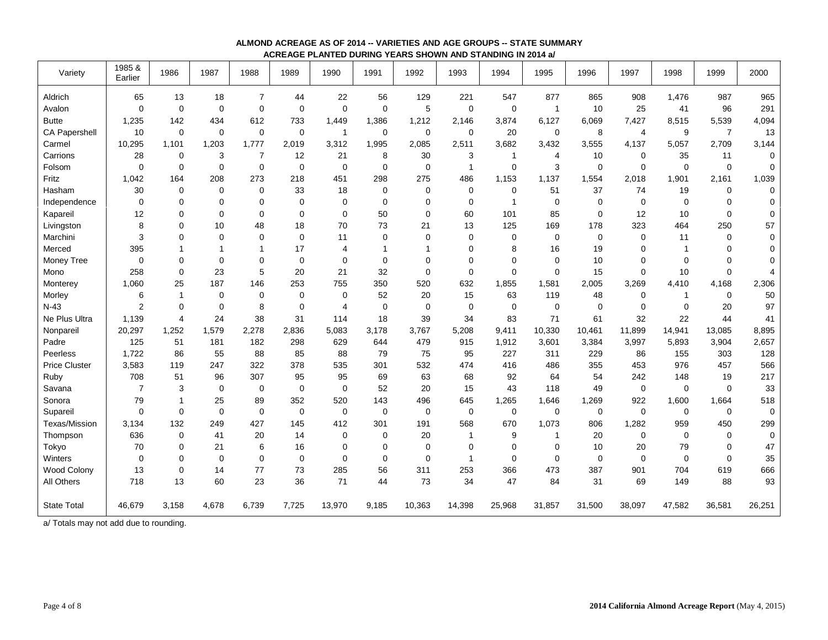| Variety              | 1985 &<br>Earlier | 1986           | 1987        | 1988           | 1989        | 1990           | 1991        | 1992         | 1993         | 1994        | 1995           | 1996   | 1997        | 1998         | 1999           | 2000        |
|----------------------|-------------------|----------------|-------------|----------------|-------------|----------------|-------------|--------------|--------------|-------------|----------------|--------|-------------|--------------|----------------|-------------|
| Aldrich              | 65                | 13             | 18          | $\overline{7}$ | 44          | 22             | 56          | 129          | 221          | 547         | 877            | 865    | 908         | 1,476        | 987            | 965         |
| Avalon               | $\mathbf 0$       | $\mathbf 0$    | $\mathbf 0$ | $\pmb{0}$      | 0           | $\mathbf 0$    | $\mathbf 0$ | 5            | $\mathbf 0$  | $\mathbf 0$ | $\overline{1}$ | 10     | 25          | 41           | 96             | 291         |
| <b>Butte</b>         | 1,235             | 142            | 434         | 612            | 733         | 1,449          | 1,386       | 1,212        | 2,146        | 3,874       | 6,127          | 6,069  | 7,427       | 8,515        | 5,539          | 4,094       |
| <b>CA Papershell</b> | 10                | $\mathbf 0$    | $\mathbf 0$ | $\pmb{0}$      | 0           | $\mathbf{1}$   | $\mathbf 0$ | $\mathbf 0$  | 0            | 20          | $\mathbf 0$    | 8      | 4           | 9            | $\overline{7}$ | 13          |
| Carmel               | 10,295            | 1.101          | 1,203       | 1,777          | 2,019       | 3,312          | 1,995       | 2,085        | 2,511        | 3.682       | 3,432          | 3,555  | 4,137       | 5,057        | 2,709          | 3,144       |
| Carrions             | 28                | $\mathbf 0$    | 3           | $\overline{7}$ | 12          | 21             | 8           | 30           | 3            | -1          | $\overline{4}$ | 10     | $\mathbf 0$ | 35           | 11             | $\mathbf 0$ |
| Folsom               | $\mathbf 0$       | $\mathbf 0$    | $\mathbf 0$ | 0              | 0           | $\mathbf 0$    | $\Omega$    | $\mathbf 0$  | $\mathbf{1}$ | $\Omega$    | 3              | 0      | $\Omega$    | $\Omega$     | $\mathbf 0$    | $\mathbf 0$ |
| Fritz                | 1,042             | 164            | 208         | 273            | 218         | 451            | 298         | 275          | 486          | 1.153       | 1,137          | 1,554  | 2,018       | 1,901        | 2,161          | 1,039       |
| Hasham               | 30                | $\mathbf 0$    | $\mathbf 0$ | $\mathbf 0$    | 33          | 18             | $\mathbf 0$ | $\Omega$     | $\mathbf 0$  | $\mathbf 0$ | 51             | 37     | 74          | 19           | 0              | $\mathbf 0$ |
| Independence         | $\mathbf 0$       | $\mathbf 0$    | $\mathbf 0$ | $\mathbf 0$    | $\mathbf 0$ | $\mathbf 0$    | $\mathbf 0$ | $\mathbf 0$  | $\mathbf 0$  | $\mathbf 1$ | $\mathbf 0$    | 0      | $\mathbf 0$ | $\mathbf 0$  | 0              | 0           |
| Kapareil             | 12                | 0              | 0           | $\mathbf 0$    | 0           | $\mathbf 0$    | 50          | $\mathbf 0$  | 60           | 101         | 85             | 0      | 12          | 10           | 0              | $\mathbf 0$ |
| Livingston           | 8                 | 0              | 10          | 48             | 18          | 70             | 73          | 21           | 13           | 125         | 169            | 178    | 323         | 464          | 250            | 57          |
| Marchini             | 3                 | 0              | $\mathbf 0$ | 0              | 0           | 11             | $\mathbf 0$ | $\mathbf 0$  | $\mathbf 0$  | $\mathbf 0$ | $\mathbf 0$    | 0      | $\mathbf 0$ | 11           | 0              | 0           |
| Merced               | 395               | 1              | 1           | $\mathbf 1$    | 17          | 4              |             | $\mathbf{1}$ | $\mathbf 0$  | 8           | 16             | 19     | $\Omega$    | $\mathbf 1$  | 0              | 0           |
| Money Tree           | $\mathbf 0$       | $\mathbf 0$    | $\mathbf 0$ | $\pmb{0}$      | $\pmb{0}$   | 0              | $\mathbf 0$ | $\Omega$     | $\mathbf 0$  | $\mathbf 0$ | $\mathbf 0$    | 10     | 0           | $\mathbf 0$  | 0              | 0           |
| Mono                 | 258               | $\pmb{0}$      | 23          | 5              | 20          | 21             | 32          | 0            | $\mathbf 0$  | $\mathbf 0$ | $\mathbf 0$    | 15     | 0           | 10           | 0              | 4           |
| Monterey             | 1,060             | 25             | 187         | 146            | 253         | 755            | 350         | 520          | 632          | 1,855       | 1,581          | 2,005  | 3,269       | 4,410        | 4,168          | 2,306       |
| Morley               | 6                 | $\mathbf{1}$   | $\mathbf 0$ | $\pmb{0}$      | 0           | $\mathbf 0$    | 52          | 20           | 15           | 63          | 119            | 48     | $\mathbf 0$ | $\mathbf{1}$ | $\mathbf 0$    | 50          |
| $N-43$               | $\overline{2}$    | $\mathbf 0$    | $\mathbf 0$ | 8              | 0           | $\overline{4}$ | $\mathbf 0$ | $\mathbf 0$  | $\mathbf 0$  | $\mathbf 0$ | $\mathbf 0$    | 0      | 0           | $\mathbf 0$  | 20             | 97          |
| Ne Plus Ultra        | 1,139             | $\overline{4}$ | 24          | 38             | 31          | 114            | 18          | 39           | 34           | 83          | 71             | 61     | 32          | 22           | 44             | 41          |
| Nonpareil            | 20,297            | 1,252          | 1,579       | 2,278          | 2,836       | 5,083          | 3,178       | 3,767        | 5,208        | 9,411       | 10,330         | 10,461 | 11,899      | 14,941       | 13,085         | 8,895       |
| Padre                | 125               | 51             | 181         | 182            | 298         | 629            | 644         | 479          | 915          | 1,912       | 3,601          | 3,384  | 3,997       | 5,893        | 3,904          | 2,657       |
| Peerless             | 1,722             | 86             | 55          | 88             | 85          | 88             | 79          | 75           | 95           | 227         | 311            | 229    | 86          | 155          | 303            | 128         |
| <b>Price Cluster</b> | 3,583             | 119            | 247         | 322            | 378         | 535            | 301         | 532          | 474          | 416         | 486            | 355    | 453         | 976          | 457            | 566         |
| Ruby                 | 708               | 51             | 96          | 307            | 95          | 95             | 69          | 63           | 68           | 92          | 64             | 54     | 242         | 148          | 19             | 217         |
| Savana               | $\overline{7}$    | 3              | $\mathbf 0$ | $\mathbf 0$    | 0           | $\mathbf 0$    | 52          | 20           | 15           | 43          | 118            | 49     | $\mathbf 0$ | $\mathbf 0$  | $\mathbf 0$    | 33          |
| Sonora               | 79                | $\mathbf{1}$   | 25          | 89             | 352         | 520            | 143         | 496          | 645          | 1,265       | 1,646          | 1,269  | 922         | 1,600        | 1,664          | 518         |
| Supareil             | $\mathbf 0$       | 0              | $\mathbf 0$ | 0              | 0           | 0              | $\mathbf 0$ | 0            | 0            | $\mathbf 0$ | $\mathbf 0$    | 0      | $\mathbf 0$ | $\mathbf 0$  | $\mathbf 0$    | 0           |
| Texas/Mission        | 3,134             | 132            | 249         | 427            | 145         | 412            | 301         | 191          | 568          | 670         | 1,073          | 806    | 1,282       | 959          | 450            | 299         |
| Thompson             | 636               | 0              | 41          | 20             | 14          | $\mathbf 0$    | 0           | 20           | -1           | 9           | -1             | 20     | 0           | $\mathbf 0$  | 0              | 0           |
| Tokyo                | 70                | 0              | 21          | 6              | 16          | 0              | 0           | $\Omega$     | $\mathbf 0$  | $\mathbf 0$ | $\mathbf 0$    | 10     | 20          | 79           | 0              | 47          |
| Winters              | $\mathbf 0$       | 0              | $\mathbf 0$ | 0              | 0           | $\Omega$       | $\mathbf 0$ | $\mathbf 0$  | $\mathbf{1}$ | $\Omega$    | $\mathbf 0$    | 0      | $\mathbf 0$ | $\mathbf 0$  | $\Omega$       | 35          |
| Wood Colony          | 13                | 0              | 14          | 77             | 73          | 285            | 56          | 311          | 253          | 366         | 473            | 387    | 901         | 704          | 619            | 666         |
| All Others           | 718               | 13             | 60          | 23             | 36          | 71             | 44          | 73           | 34           | 47          | 84             | 31     | 69          | 149          | 88             | 93          |
| <b>State Total</b>   | 46,679            | 3,158          | 4,678       | 6,739          | 7,725       | 13,970         | 9,185       | 10,363       | 14,398       | 25,968      | 31,857         | 31,500 | 38,097      | 47,582       | 36,581         | 26,251      |

#### **ALMOND ACREAGE AS OF 2014 -- VARIETIES AND AGE GROUPS -- STATE SUMMARY ACREAGE PLANTED DURING YEARS SHOWN AND STANDING IN 2014 a/**

a/ Totals may not add due to rounding.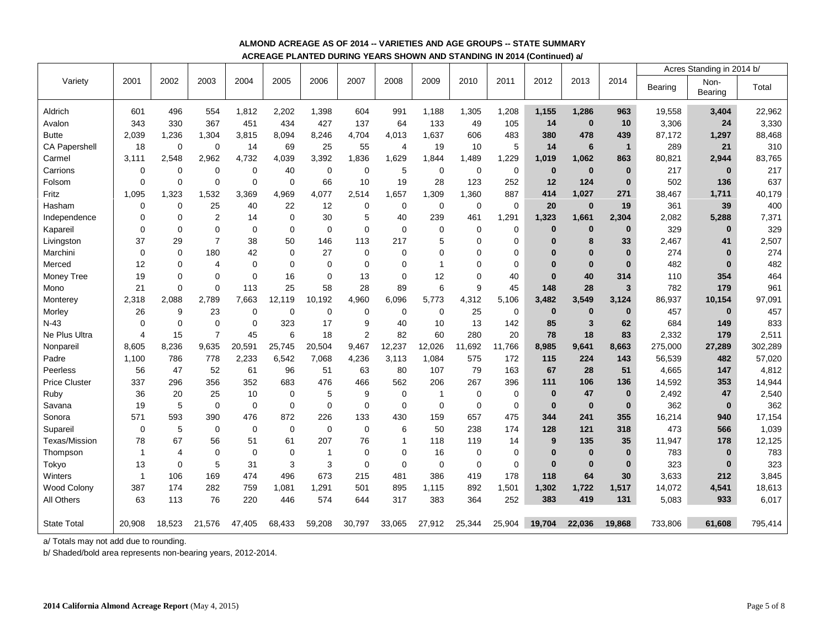# **ALMOND ACREAGE AS OF 2014 -- VARIETIES AND AGE GROUPS -- STATE SUMMARY ACREAGE PLANTED DURING YEARS SHOWN AND STANDING IN 2014 (Continued) a/**

|                      |                |             |                |             |             |                |                |                |                |             |             |          |              |                |         | Acres Standing in 2014 b/ |         |
|----------------------|----------------|-------------|----------------|-------------|-------------|----------------|----------------|----------------|----------------|-------------|-------------|----------|--------------|----------------|---------|---------------------------|---------|
| Variety              | 2001           | 2002        | 2003           | 2004        | 2005        | 2006           | 2007           | 2008           | 2009           | 2010        | 2011        | 2012     | 2013         | 2014           | Bearing | Non-<br>Bearing           | Total   |
| Aldrich              | 601            | 496         | 554            | 1,812       | 2,202       | 1,398          | 604            | 991            | 1,188          | 1,305       | 1,208       | 1,155    | 1,286        | 963            | 19,558  | 3,404                     | 22,962  |
| Avalon               | 343            | 330         | 367            | 451         | 434         | 427            | 137            | 64             | 133            | 49          | 105         | 14       | $\bf{0}$     | 10             | 3,306   | 24                        | 3,330   |
| <b>Butte</b>         | 2,039          | 1,236       | 1,304          | 3,815       | 8,094       | 8,246          | 4,704          | 4,013          | 1,637          | 606         | 483         | 380      | 478          | 439            | 87,172  | 1,297                     | 88,468  |
| <b>CA Papershell</b> | 18             | $\mathbf 0$ | $\mathbf 0$    | 14          | 69          | 25             | 55             | $\overline{4}$ | 19             | 10          | 5           | 14       | 6            | $\overline{1}$ | 289     | 21                        | 310     |
| Carmel               | 3,111          | 2,548       | 2,962          | 4,732       | 4,039       | 3,392          | 1,836          | 1,629          | 1,844          | 1,489       | 1,229       | 1,019    | 1,062        | 863            | 80,821  | 2,944                     | 83,765  |
| Carrions             | 0              | 0           | $\mathbf 0$    | $\mathbf 0$ | 40          | 0              | $\mathbf 0$    | 5              | $\mathbf 0$    | 0           | $\mathbf 0$ | $\bf{0}$ | $\bf{0}$     | $\bf{0}$       | 217     | $\bf{0}$                  | 217     |
| Folsom               | 0              | $\mathbf 0$ | $\mathbf 0$    | $\mathbf 0$ | $\mathbf 0$ | 66             | 10             | 19             | 28             | 123         | 252         | 12       | 124          | $\bf{0}$       | 502     | 136                       | 637     |
| Fritz                | 1.095          | 1.323       | 1.532          | 3.369       | 4,969       | 4.077          | 2,514          | 1.657          | 1,309          | 1,360       | 887         | 414      | 1,027        | 271            | 38,467  | 1,711                     | 40,179  |
| Hasham               | 0              | $\mathbf 0$ | 25             | 40          | 22          | 12             | $\mathbf 0$    | $\mathbf 0$    | $\mathbf 0$    | $\pmb{0}$   | $\mathbf 0$ | 20       | $\mathbf{0}$ | 19             | 361     | 39                        | 400     |
| Independence         | 0              | 0           | 2              | 14          | $\mathbf 0$ | 30             | 5              | 40             | 239            | 461         | 1,291       | 1,323    | 1,661        | 2,304          | 2,082   | 5,288                     | 7,371   |
| Kapareil             | 0              | $\mathbf 0$ | $\mathbf 0$    | $\mathbf 0$ | $\Omega$    | $\Omega$       | $\Omega$       | $\mathbf 0$    | $\mathbf 0$    | $\mathbf 0$ | $\Omega$    | $\bf{0}$ | $\bf{0}$     | $\bf{0}$       | 329     | $\bf{0}$                  | 329     |
| Livingston           | 37             | 29          | $\overline{7}$ | 38          | 50          | 146            | 113            | 217            | 5              | $\mathbf 0$ | $\mathbf 0$ | $\bf{0}$ | 8            | 33             | 2,467   | 41                        | 2,507   |
| Marchini             | 0              | $\mathbf 0$ | 180            | 42          | $\mathbf 0$ | 27             | $\mathbf 0$    | $\mathbf 0$    | 0              | $\mathbf 0$ | $\mathbf 0$ | 0        | $\bf{0}$     | $\mathbf{0}$   | 274     | $\bf{0}$                  | 274     |
| Merced               | 12             | 0           | 4              | $\mathbf 0$ | $\mathbf 0$ | $\mathbf 0$    | $\mathbf 0$    | $\overline{0}$ | 1              | $\mathbf 0$ | $\mathbf 0$ | 0        | $\bf{0}$     | $\bf{0}$       | 482     | $\bf{0}$                  | 482     |
| Money Tree           | 19             | $\Omega$    | $\mathbf 0$    | $\mathbf 0$ | 16          | $\mathbf 0$    | 13             | $\mathbf 0$    | 12             | $\mathbf 0$ | 40          | $\bf{0}$ | 40           | 314            | 110     | 354                       | 464     |
| Mono                 | 21             | $\Omega$    | $\Omega$       | 113         | 25          | 58             | 28             | 89             | 6              | 9           | 45          | 148      | 28           | 3              | 782     | 179                       | 961     |
| Monterey             | 2,318          | 2,088       | 2,789          | 7,663       | 12,119      | 10,192         | 4,960          | 6,096          | 5,773          | 4,312       | 5,106       | 3,482    | 3,549        | 3,124          | 86,937  | 10,154                    | 97,091  |
| Morley               | 26             | 9           | 23             | $\mathbf 0$ | $\mathbf 0$ | $\mathbf 0$    | $\mathbf 0$    | $\mathbf 0$    | 0              | 25          | $\mathbf 0$ | $\bf{0}$ | $\bf{0}$     | $\mathbf{0}$   | 457     | $\bf{0}$                  | 457     |
| $N-43$               | $\mathbf 0$    | $\mathbf 0$ | $\mathbf 0$    | $\mathbf 0$ | 323         | 17             | 9              | 40             | 10             | 13          | 142         | 85       | $\mathbf{3}$ | 62             | 684     | 149                       | 833     |
| Ne Plus Ultra        | $\overline{4}$ | 15          | $\overline{7}$ | 45          | 6           | 18             | $\overline{2}$ | 82             | 60             | 280         | 20          | 78       | 18           | 83             | 2,332   | 179                       | 2,511   |
| Nonpareil            | 8,605          | 8,236       | 9,635          | 20,591      | 25,745      | 20,504         | 9,467          | 12,237         | 12,026         | 11,692      | 11,766      | 8,985    | 9,641        | 8,663          | 275,000 | 27,289                    | 302,289 |
| Padre                | 1,100          | 786         | 778            | 2,233       | 6,542       | 7,068          | 4,236          | 3,113          | 1,084          | 575         | 172         | 115      | 224          | 143            | 56,539  | 482                       | 57,020  |
| Peerless             | 56             | 47          | 52             | 61          | 96          | 51             | 63             | 80             | 107            | 79          | 163         | 67       | 28           | 51             | 4,665   | 147                       | 4,812   |
| <b>Price Cluster</b> | 337            | 296         | 356            | 352         | 683         | 476            | 466            | 562            | 206            | 267         | 396         | 111      | 106          | 136            | 14,592  | 353                       | 14,944  |
| Ruby                 | 36             | 20          | 25             | 10          | $\mathbf 0$ | 5              | 9              | $\mathbf 0$    | $\overline{1}$ | $\mathbf 0$ | $\mathbf 0$ | $\bf{0}$ | 47           | $\mathbf{0}$   | 2,492   | 47                        | 2,540   |
| Savana               | 19             | 5           | $\mathbf 0$    | $\mathbf 0$ | $\mathbf 0$ | $\mathbf 0$    | $\mathbf 0$    | $\mathbf 0$    | $\mathbf 0$    | $\mathbf 0$ | $\mathbf 0$ | $\bf{0}$ | $\mathbf{0}$ | $\mathbf{0}$   | 362     | $\bf{0}$                  | 362     |
| Sonora               | 571            | 593         | 390            | 476         | 872         | 226            | 133            | 430            | 159            | 657         | 475         | 344      | 241          | 355            | 16,214  | 940                       | 17,154  |
| Supareil             | 0              | 5           | 0              | $\mathbf 0$ | $\mathbf 0$ | $\mathbf 0$    | $\mathbf 0$    | 6              | 50             | 238         | 174         | 128      | 121          | 318            | 473     | 566                       | 1,039   |
| Texas/Mission        | 78             | 67          | 56             | 51          | 61          | 207            | 76             | $\mathbf{1}$   | 118            | 119         | 14          | 9        | 135          | 35             | 11,947  | 178                       | 12,125  |
| Thompson             | $\mathbf{1}$   | 4           | $\mathbf 0$    | $\mathbf 0$ | $\mathbf 0$ | $\overline{1}$ | $\mathbf 0$    | $\mathbf 0$    | 16             | $\mathbf 0$ | 0           | $\bf{0}$ | $\bf{0}$     | $\bf{0}$       | 783     | $\bf{0}$                  | 783     |
| Tokyo                | 13             | $\mathbf 0$ | 5              | 31          | 3           | 3              | $\Omega$       | $\mathbf 0$    | $\mathbf 0$    | $\mathbf 0$ | $\mathbf 0$ | $\bf{0}$ | $\bf{0}$     | $\bf{0}$       | 323     | $\bf{0}$                  | 323     |
| Winters              | $\mathbf{1}$   | 106         | 169            | 474         | 496         | 673            | 215            | 481            | 386            | 419         | 178         | 118      | 64           | 30             | 3,633   | 212                       | 3,845   |
| Wood Colony          | 387            | 174         | 282            | 759         | 1,081       | 1,291          | 501            | 895            | 1,115          | 892         | 1,501       | 1,302    | 1,722        | 1,517          | 14,072  | 4,541                     | 18,613  |
| All Others           | 63             | 113         | 76             | 220         | 446         | 574            | 644            | 317            | 383            | 364         | 252         | 383      | 419          | 131            | 5,083   | 933                       | 6,017   |
| <b>State Total</b>   | 20,908         | 18,523      | 21.576         | 47.405      | 68,433      | 59,208         | 30,797         | 33,065         | 27,912         | 25,344      | 25,904      | 19.704   | 22.036       | 19.868         | 733,806 | 61,608                    | 795,414 |
|                      |                |             |                |             |             |                |                |                |                |             |             |          |              |                |         |                           |         |

a/ Totals may not add due to rounding.

b/ Shaded/bold area represents non-bearing years, 2012-2014.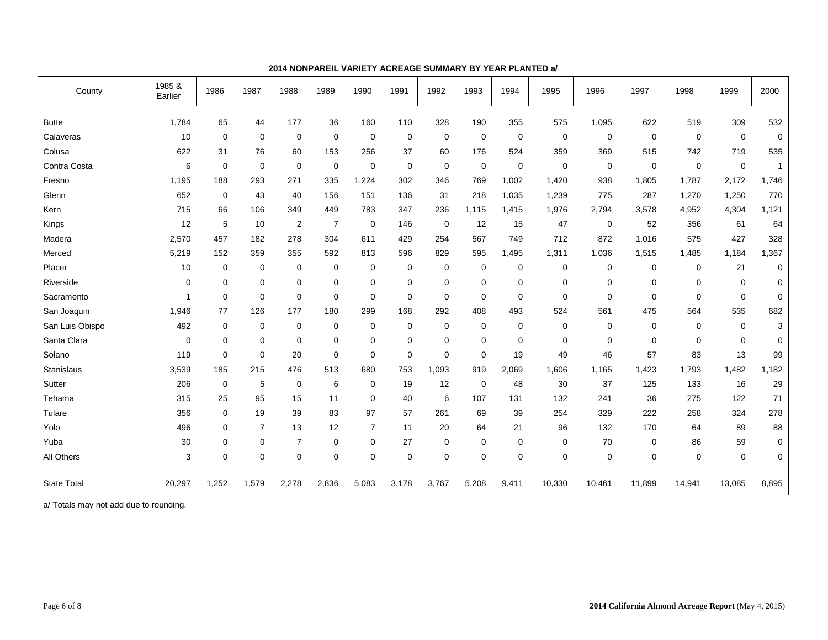| County             | 1985 &<br>Earlier | 1986        | 1987        | 1988                    | 1989           | 1990           | 1991        | 1992        | 1993        | 1994        | 1995        | 1996        | 1997        | 1998        | 1999        | 2000         |
|--------------------|-------------------|-------------|-------------|-------------------------|----------------|----------------|-------------|-------------|-------------|-------------|-------------|-------------|-------------|-------------|-------------|--------------|
| <b>Butte</b>       | 1,784             | 65          | 44          | 177                     | 36             | 160            | 110         | 328         | 190         | 355         | 575         | 1,095       | 622         | 519         | 309         | 532          |
| Calaveras          | 10                | $\mathbf 0$ | $\mathbf 0$ | 0                       | $\mathbf 0$    | $\mathbf 0$    | 0           | $\mathbf 0$ | $\mathbf 0$ | $\mathbf 0$ | $\mathbf 0$ | $\mathbf 0$ | $\mathbf 0$ | $\mathbf 0$ | $\mathbf 0$ | $\mathbf 0$  |
| Colusa             | 622               | 31          | 76          | 60                      | 153            | 256            | 37          | 60          | 176         | 524         | 359         | 369         | 515         | 742         | 719         | 535          |
| Contra Costa       | 6                 | $\mathbf 0$ | $\mathbf 0$ | 0                       | $\mathbf 0$    | $\mathbf 0$    | $\mathbf 0$ | $\mathbf 0$ | $\mathbf 0$ | 0           | $\mathbf 0$ | 0           | $\mathbf 0$ | $\mathbf 0$ | $\mathbf 0$ | $\mathbf{1}$ |
| Fresno             | 1,195             | 188         | 293         | 271                     | 335            | 1,224          | 302         | 346         | 769         | 1,002       | 1,420       | 938         | 1,805       | 1.787       | 2,172       | 1,746        |
| Glenn              | 652               | $\mathbf 0$ | 43          | 40                      | 156            | 151            | 136         | 31          | 218         | 1,035       | 1,239       | 775         | 287         | 1,270       | 1,250       | 770          |
| Kern               | 715               | 66          | 106         | 349                     | 449            | 783            | 347         | 236         | 1.115       | 1,415       | 1,976       | 2,794       | 3,578       | 4,952       | 4,304       | 1,121        |
| Kings              | 12                | 5           | 10          | $\overline{\mathbf{c}}$ | $\overline{7}$ | 0              | 146         | $\mathbf 0$ | 12          | 15          | 47          | 0           | 52          | 356         | 61          | 64           |
| Madera             | 2,570             | 457         | 182         | 278                     | 304            | 611            | 429         | 254         | 567         | 749         | 712         | 872         | 1,016       | 575         | 427         | 328          |
| Merced             | 5,219             | 152         | 359         | 355                     | 592            | 813            | 596         | 829         | 595         | 1,495       | 1,311       | 1,036       | 1,515       | 1,485       | 1,184       | 1,367        |
| Placer             | 10                | $\pmb{0}$   | $\mathbf 0$ | 0                       | $\mathbf 0$    | 0              | $\mathbf 0$ | $\mathbf 0$ | $\mathbf 0$ | 0           | $\mathbf 0$ | 0           | $\mathbf 0$ | $\mathbf 0$ | 21          | $\mathbf 0$  |
| Riverside          | 0                 | $\mathbf 0$ | $\mathbf 0$ | 0                       | $\mathbf 0$    | $\mathbf 0$    | $\mathbf 0$ | $\mathbf 0$ | $\mathbf 0$ | 0           | $\mathbf 0$ | $\mathbf 0$ | $\mathbf 0$ | $\mathbf 0$ | 0           | 0            |
| Sacramento         | 1                 | $\mathbf 0$ | $\mathbf 0$ | $\mathbf 0$             | $\mathbf 0$    | $\mathbf 0$    | $\mathbf 0$ | $\mathbf 0$ | $\mathbf 0$ | $\mathbf 0$ | $\mathbf 0$ | $\mathbf 0$ | $\mathbf 0$ | $\mathbf 0$ | $\mathbf 0$ | 0            |
| San Joaquin        | 1,946             | 77          | 126         | 177                     | 180            | 299            | 168         | 292         | 408         | 493         | 524         | 561         | 475         | 564         | 535         | 682          |
| San Luis Obispo    | 492               | $\mathbf 0$ | 0           | 0                       | 0              | 0              | $\mathbf 0$ | $\mathbf 0$ | $\mathbf 0$ | 0           | $\mathbf 0$ | 0           | 0           | $\mathbf 0$ | $\mathbf 0$ | 3            |
| Santa Clara        | 0                 | $\mathbf 0$ | 0           | 0                       | $\mathbf 0$    | $\mathbf 0$    | $\mathbf 0$ | $\mathbf 0$ | $\mathbf 0$ | 0           | $\mathbf 0$ | $\mathbf 0$ | $\mathbf 0$ | $\mathbf 0$ | 0           | 0            |
| Solano             | 119               | $\mathbf 0$ | $\mathbf 0$ | 20                      | $\mathbf 0$    | 0              | $\mathbf 0$ | $\mathbf 0$ | $\mathbf 0$ | 19          | 49          | 46          | 57          | 83          | 13          | 99           |
| Stanislaus         | 3,539             | 185         | 215         | 476                     | 513            | 680            | 753         | 1,093       | 919         | 2,069       | 1,606       | 1,165       | 1,423       | 1,793       | 1,482       | 1,182        |
| Sutter             | 206               | $\mathbf 0$ | 5           | 0                       | 6              | 0              | 19          | 12          | $\mathbf 0$ | 48          | 30          | 37          | 125         | 133         | 16          | 29           |
| Tehama             | 315               | 25          | 95          | 15                      | 11             | 0              | 40          | 6           | 107         | 131         | 132         | 241         | 36          | 275         | 122         | 71           |
| Tulare             | 356               | $\mathbf 0$ | 19          | 39                      | 83             | 97             | 57          | 261         | 69          | 39          | 254         | 329         | 222         | 258         | 324         | 278          |
| Yolo               | 496               | $\mathbf 0$ | 7           | 13                      | 12             | $\overline{7}$ | 11          | 20          | 64          | 21          | 96          | 132         | 170         | 64          | 89          | 88           |
| Yuba               | 30                | $\mathbf 0$ | 0           | $\overline{7}$          | $\mathbf 0$    | 0              | 27          | $\mathbf 0$ | $\mathbf 0$ | 0           | $\mathbf 0$ | 70          | 0           | 86          | 59          | 0            |
| All Others         | 3                 | $\mathbf 0$ | $\mathbf 0$ | 0                       | $\mathbf 0$    | $\mathbf 0$    | 0           | $\mathbf 0$ | $\mathbf 0$ | 0           | $\mathbf 0$ | $\mathbf 0$ | 0           | $\mathbf 0$ | $\mathbf 0$ | 0            |
| <b>State Total</b> | 20,297            | 1,252       | 1,579       | 2,278                   | 2,836          | 5,083          | 3,178       | 3,767       | 5,208       | 9,411       | 10,330      | 10,461      | 11,899      | 14,941      | 13,085      | 8,895        |

# **2014 NONPAREIL VARIETY ACREAGE SUMMARY BY YEAR PLANTED a/**

a/ Totals may not add due to rounding.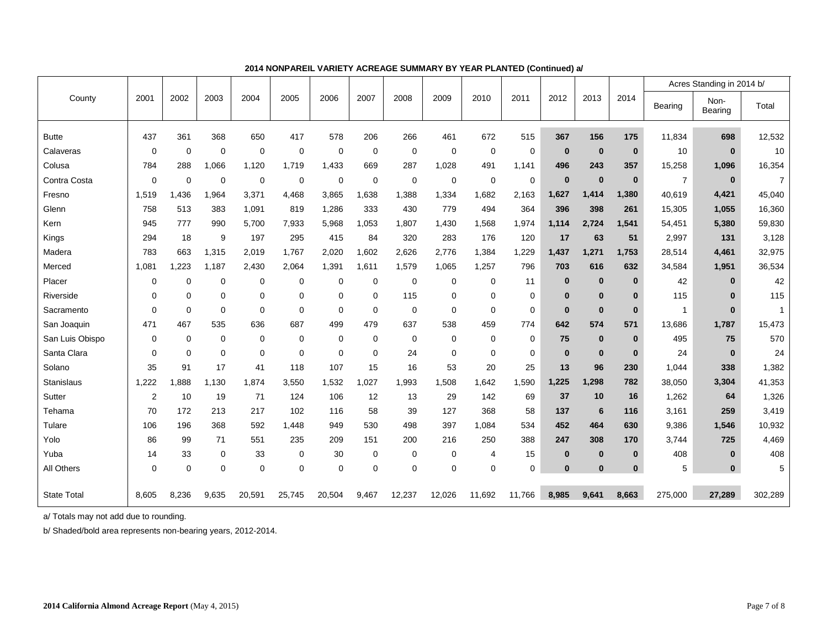|                    |                |             |             |             |             |             |             |             |             |                |             |             |          |             |                | Acres Standing in 2014 b/ |                |  |
|--------------------|----------------|-------------|-------------|-------------|-------------|-------------|-------------|-------------|-------------|----------------|-------------|-------------|----------|-------------|----------------|---------------------------|----------------|--|
| County             | 2001           | 2002        | 2003        | 2004        | 2005        | 2006        | 2007        | 2008        | 2009        | 2010           | 2011        | 2012        | 2013     | 2014        | <b>Bearing</b> | Non-<br>Bearing           | Total          |  |
| <b>Butte</b>       | 437            | 361         | 368         | 650         | 417         | 578         | 206         | 266         | 461         | 672            | 515         | 367         | 156      | 175         | 11,834         | 698                       | 12,532         |  |
| Calaveras          | $\mathbf 0$    | $\mathbf 0$ | $\mathbf 0$ | $\mathbf 0$ | $\mathbf 0$ | $\mathbf 0$ | $\mathbf 0$ | $\mathbf 0$ | 0           | $\mathbf 0$    | $\mathbf 0$ | $\mathbf 0$ | $\bf{0}$ | $\mathbf 0$ | 10             | $\mathbf{0}$              | 10             |  |
| Colusa             | 784            | 288         | 1.066       | 1.120       | 1.719       | 1,433       | 669         | 287         | 1,028       | 491            | 1,141       | 496         | 243      | 357         | 15,258         | 1,096                     | 16,354         |  |
| Contra Costa       | $\mathbf 0$    | $\Omega$    | 0           | 0           | $\mathbf 0$ | $\mathbf 0$ | $\mathbf 0$ | $\mathbf 0$ | 0           | $\mathbf 0$    | $\mathbf 0$ | $\bf{0}$    | $\bf{0}$ | $\bf{0}$    | $\overline{7}$ | $\mathbf{0}$              | $\overline{7}$ |  |
| Fresno             | 1,519          | .436        | 1.964       | 3,371       | 4,468       | 3,865       | 1,638       | 1,388       | 1,334       | 1,682          | 2,163       | 1,627       | 1,414    | 1,380       | 40,619         | 4,421                     | 45,040         |  |
| Glenn              | 758            | 513         | 383         | 1,091       | 819         | 1,286       | 333         | 430         | 779         | 494            | 364         | 396         | 398      | 261         | 15,305         | 1,055                     | 16,360         |  |
| Kern               | 945            | 777         | 990         | 5,700       | 7,933       | 5,968       | 1,053       | 1,807       | 1,430       | 1,568          | 1,974       | 1,114       | 2.724    | 1,541       | 54,451         | 5,380                     | 59,830         |  |
| Kings              | 294            | 18          | 9           | 197         | 295         | 415         | 84          | 320         | 283         | 176            | 120         | 17          | 63       | 51          | 2,997          | 131                       | 3,128          |  |
| Madera             | 783            | 663         | 1,315       | 2,019       | 1,767       | 2,020       | 1,602       | 2,626       | 2,776       | 1,384          | 1,229       | 1,437       | 1,271    | 1,753       | 28,514         | 4,461                     | 32,975         |  |
| Merced             | 1,081          | 1,223       | 1,187       | 2,430       | 2,064       | 1,391       | 1,611       | 1,579       | 1,065       | 1,257          | 796         | 703         | 616      | 632         | 34,584         | 1,951                     | 36,534         |  |
| Placer             | 0              | $\mathbf 0$ | $\mathbf 0$ | $\mathbf 0$ | $\mathbf 0$ | $\mathbf 0$ | $\mathbf 0$ | $\mathbf 0$ | 0           | $\mathbf 0$    | 11          | $\mathbf 0$ | $\bf{0}$ | $\bf{0}$    | 42             | $\bf{0}$                  | 42             |  |
| Riverside          | 0              | $\mathbf 0$ | $\mathbf 0$ | 0           | $\mathbf 0$ | $\mathbf 0$ | $\mathbf 0$ | 115         | 0           | $\mathbf 0$    | 0           | $\bf{0}$    | $\bf{0}$ | $\bf{0}$    | 115            | $\bf{0}$                  | 115            |  |
| Sacramento         | 0              | 0           | $\mathbf 0$ | 0           | $\mathbf 0$ | $\mathbf 0$ | $\mathbf 0$ | $\mathbf 0$ | 0           | $\overline{0}$ | 0           | $\mathbf 0$ | $\bf{0}$ | $\bf{0}$    | $\mathbf{1}$   | $\mathbf{0}$              | $\mathbf{1}$   |  |
| San Joaquin        | 471            | 467         | 535         | 636         | 687         | 499         | 479         | 637         | 538         | 459            | 774         | 642         | 574      | 571         | 13,686         | 1,787                     | 15,473         |  |
| San Luis Obispo    | $\mathbf 0$    | $\mathbf 0$ | $\mathbf 0$ | 0           | $\mathbf 0$ | $\mathbf 0$ | $\mathbf 0$ | $\mathbf 0$ | 0           | $\overline{0}$ | 0           | 75          | $\bf{0}$ | $\bf{0}$    | 495            | 75                        | 570            |  |
| Santa Clara        | 0              | $\mathbf 0$ | 0           | 0           | $\mathbf 0$ | $\mathbf 0$ | $\mathbf 0$ | 24          | 0           | $\mathbf 0$    | 0           | $\bf{0}$    | $\bf{0}$ | $\bf{0}$    | 24             | $\bf{0}$                  | 24             |  |
| Solano             | 35             | 91          | 17          | 41          | 118         | 107         | 15          | 16          | 53          | 20             | 25          | 13          | 96       | 230         | 1,044          | 338                       | 1,382          |  |
| <b>Stanislaus</b>  | 1,222          | .888        | 1,130       | 1,874       | 3,550       | 1,532       | 1,027       | 1,993       | 1,508       | 1,642          | 1,590       | 1,225       | 1,298    | 782         | 38,050         | 3,304                     | 41,353         |  |
| Sutter             | $\overline{2}$ | 10          | 19          | 71          | 124         | 106         | 12          | 13          | 29          | 142            | 69          | 37          | 10       | 16          | 1,262          | 64                        | 1,326          |  |
| Tehama             | 70             | 172         | 213         | 217         | 102         | 116         | 58          | 39          | 127         | 368            | 58          | 137         | 6        | 116         | 3,161          | 259                       | 3,419          |  |
| Tulare             | 106            | 196         | 368         | 592         | 1.448       | 949         | 530         | 498         | 397         | 1,084          | 534         | 452         | 464      | 630         | 9,386          | 1,546                     | 10,932         |  |
| Yolo               | 86             | 99          | 71          | 551         | 235         | 209         | 151         | 200         | 216         | 250            | 388         | 247         | 308      | 170         | 3,744          | 725                       | 4,469          |  |
| Yuba               | 14             | 33          | 0           | 33          | 0           | 30          | $\mathbf 0$ | 0           | 0           | $\overline{4}$ | 15          | $\bf{0}$    | $\bf{0}$ | $\bf{0}$    | 408            | $\bf{0}$                  | 408            |  |
| All Others         | 0              | $\mathbf 0$ | $\mathbf 0$ | 0           | $\mathbf 0$ | $\mathbf 0$ | $\mathbf 0$ | $\mathbf 0$ | $\mathbf 0$ | $\mathbf 0$    | $\mathbf 0$ | $\bf{0}$    | $\bf{0}$ | $\bf{0}$    | 5              | $\mathbf{0}$              | 5              |  |
| <b>State Total</b> | 8,605          | 8,236       | 9,635       | 20,591      | 25,745      | 20,504      | 9,467       | 12,237      | 12,026      | 11,692         | 11,766      | 8,985       | 9,641    | 8,663       | 275,000        | 27,289                    | 302,289        |  |

#### **2014 NONPAREIL VARIETY ACREAGE SUMMARY BY YEAR PLANTED (Continued) a/**

a/ Totals may not add due to rounding.

b/ Shaded/bold area represents non-bearing years, 2012-2014.